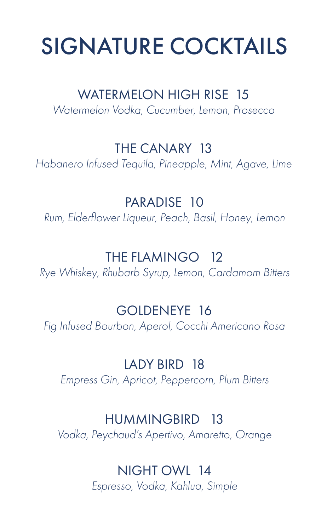## SIGNATURE COCKTAILS

#### WATERMELON HIGH RISE 15

*Watermelon Vodka, Cucumber, Lemon, Prosecco*

#### THE CANARY 13

*Habanero Infused Tequila, Pineapple, Mint, Agave, Lime*

#### PARADISE 10

*Rum, Elderflower Liqueur, Peach, Basil, Honey, Lemon*

#### THE FLAMINGO 12

*Rye Whiskey, Rhubarb Syrup, Lemon, Cardamom Bitters*

#### GOLDENEYE 16

*Fig Infused Bourbon, Aperol, Cocchi Americano Rosa*

#### LADY BIRD 18

*Empress Gin, Apricot, Peppercorn, Plum Bitters*

#### HUMMINGBIRD 13

*Vodka, Peychaud's Apertivo, Amaretto, Orange*

#### NIGHT OWL 14

*Espresso, Vodka, Kahlua, Simple*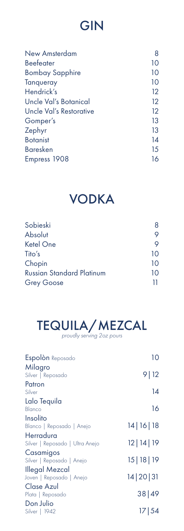## GIN

| <b>New Amsterdam</b>    | 8                 |
|-------------------------|-------------------|
| <b>Beefeater</b>        | 10                |
| Bombay Sapphire         | 10                |
| Tanqueray               | 10                |
| Hendrick's              | 12                |
| Uncle Val's Botanical   | $12 \overline{ }$ |
| Uncle Val's Restorative | 12                |
| Gomper's                | 13                |
| Zephyr                  | 13                |
| <b>Botanist</b>         | 14                |
| <b>Baresken</b>         | 15                |
| Empress 1908            | 16                |
|                         |                   |

# VODKA

| Sobieski                         | 8  |
|----------------------------------|----|
| Absolut                          |    |
| <b>Ketel One</b>                 |    |
| Tito's                           | 10 |
| Chopin                           | 10 |
| <b>Russian Standard Platinum</b> | 10 |
| <b>Grey Goose</b>                | 11 |



| Espolòn Reposado                             | 10             |
|----------------------------------------------|----------------|
| Milagro<br>Silver   Reposado                 | 9   12         |
| Patron<br>Silver                             | 14             |
| Lalo Tequila                                 |                |
| Blanco                                       | 16             |
| Insolito                                     |                |
| Blanco   Reposado   Anejo                    | 14 16 18       |
| Herradura<br>Silver   Reposado   Ultra Anejo | $12$   14   19 |
| Casamigos                                    |                |
| Silver   Reposado   Anejo                    | 15   18   19   |
| Illegal Mezcal                               |                |
| Joven   Reposado   Anejo                     | 14 20 31       |
| Clase Azul                                   |                |
| Plata   Reposado                             | 38 49          |
| Don Julio                                    |                |
| Silver   1942                                | 17 54          |